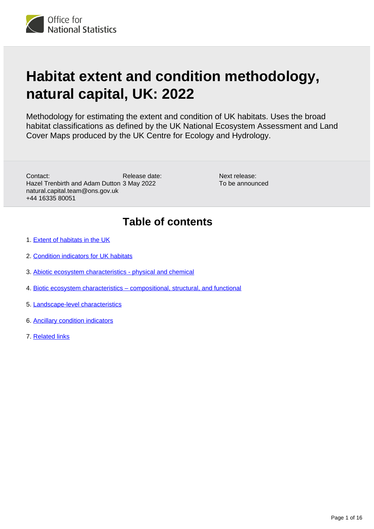# **Habitat extent and condition methodology, natural capital, UK: 2022**

Methodology for estimating the extent and condition of UK habitats. Uses the broad habitat classifications as defined by the UK National Ecosystem Assessment and Land Cover Maps produced by the UK Centre for Ecology and Hydrology.

Release date: Hazel Trenbirth and Adam Dutton 3 May 2022 Contact: natural.capital.team@ons.gov.uk +44 16335 80051

Next release: To be announced

## **Table of contents**

- 1. [Extent of habitats in the UK](#page-1-0)
- 2. [Condition indicators for UK habitats](#page-2-0)
- 3. [Abiotic ecosystem characteristics physical and chemical](#page-3-0)
- 4. [Biotic ecosystem characteristics compositional, structural, and functional](#page-4-0)
- 5. [Landscape-level characteristics](#page-9-0)
- 6. [Ancillary condition indicators](#page-11-0)
- 7. [Related links](#page-15-0)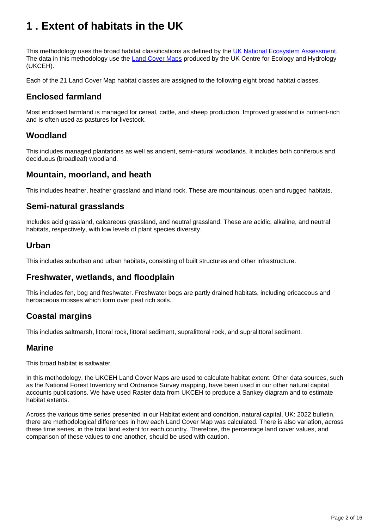# <span id="page-1-0"></span>**1 . Extent of habitats in the UK**

This methodology uses the broad habitat classifications as defined by the [UK National Ecosystem Assessment.](http://uknea.unep-wcmc.org/LinkClick.aspx?fileticket=BNpVOJWKNxA%3d&tabid=82) The data in this methodology use the **Land Cover Maps** produced by the UK Centre for Ecology and Hydrology (UKCEH).

Each of the 21 Land Cover Map habitat classes are assigned to the following eight broad habitat classes.

### **Enclosed farmland**

Most enclosed farmland is managed for cereal, cattle, and sheep production. Improved grassland is nutrient-rich and is often used as pastures for livestock.

### **Woodland**

This includes managed plantations as well as ancient, semi-natural woodlands. It includes both coniferous and deciduous (broadleaf) woodland.

### **Mountain, moorland, and heath**

This includes heather, heather grassland and inland rock. These are mountainous, open and rugged habitats.

### **Semi-natural grasslands**

Includes acid grassland, calcareous grassland, and neutral grassland. These are acidic, alkaline, and neutral habitats, respectively, with low levels of plant species diversity.

#### **Urban**

This includes suburban and urban habitats, consisting of built structures and other infrastructure.

### **Freshwater, wetlands, and floodplain**

This includes fen, bog and freshwater. Freshwater bogs are partly drained habitats, including ericaceous and herbaceous mosses which form over peat rich soils.

### **Coastal margins**

This includes saltmarsh, littoral rock, littoral sediment, supralittoral rock, and supralittoral sediment.

### **Marine**

This broad habitat is saltwater.

In this methodology, the UKCEH Land Cover Maps are used to calculate habitat extent. Other data sources, such as the National Forest Inventory and Ordnance Survey mapping, have been used in our other natural capital accounts publications. We have used Raster data from UKCEH to produce a Sankey diagram and to estimate habitat extents.

Across the various time series presented in our Habitat extent and condition, natural capital, UK: 2022 bulletin, there are methodological differences in how each Land Cover Map was calculated. There is also variation, across these time series, in the total land extent for each country. Therefore, the percentage land cover values, and comparison of these values to one another, should be used with caution.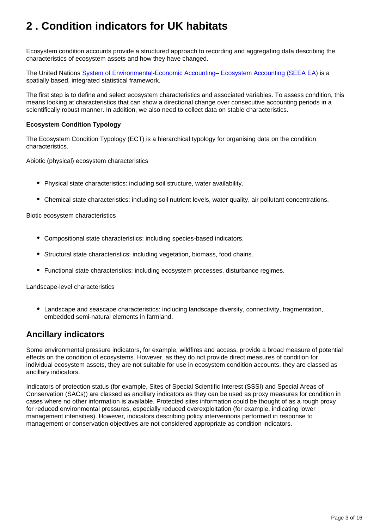# <span id="page-2-0"></span>**2 . Condition indicators for UK habitats**

Ecosystem condition accounts provide a structured approach to recording and aggregating data describing the characteristics of ecosystem assets and how they have changed.

The United Nations [System of Environmental-Economic Accounting– Ecosystem Accounting \(SEEA EA\)](https://unstats.un.org/unsd/statcom/52nd-session/documents/BG-3f-SEEA-EA_Final_draft-E.pdf) is a spatially based, integrated statistical framework.

The first step is to define and select ecosystem characteristics and associated variables. To assess condition, this means looking at characteristics that can show a directional change over consecutive accounting periods in a scientifically robust manner. In addition, we also need to collect data on stable characteristics.

#### **Ecosystem Condition Typology**

The Ecosystem Condition Typology (ECT) is a hierarchical typology for organising data on the condition characteristics.

Abiotic (physical) ecosystem characteristics

- Physical state characteristics: including soil structure, water availability.
- Chemical state characteristics: including soil nutrient levels, water quality, air pollutant concentrations.

Biotic ecosystem characteristics

- Compositional state characteristics: including species-based indicators.
- Structural state characteristics: including vegetation, biomass, food chains.
- Functional state characteristics: including ecosystem processes, disturbance regimes.

Landscape-level characteristics

Landscape and seascape characteristics: including landscape diversity, connectivity, fragmentation, embedded semi-natural elements in farmland.

### **Ancillary indicators**

Some environmental pressure indicators, for example, wildfires and access, provide a broad measure of potential effects on the condition of ecosystems. However, as they do not provide direct measures of condition for individual ecosystem assets, they are not suitable for use in ecosystem condition accounts, they are classed as ancillary indicators.

Indicators of protection status (for example, Sites of Special Scientific Interest (SSSI) and Special Areas of Conservation (SACs)) are classed as ancillary indicators as they can be used as proxy measures for condition in cases where no other information is available. Protected sites information could be thought of as a rough proxy for reduced environmental pressures, especially reduced overexploitation (for example, indicating lower management intensities). However, indicators describing policy interventions performed in response to management or conservation objectives are not considered appropriate as condition indicators.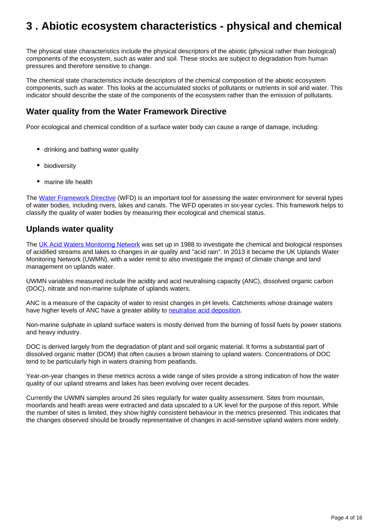## <span id="page-3-0"></span>**3 . Abiotic ecosystem characteristics - physical and chemical**

The physical state characteristics include the physical descriptors of the abiotic (physical rather than biological) components of the ecosystem, such as water and soil. These stocks are subject to degradation from human pressures and therefore sensitive to change.

The chemical state characteristics include descriptors of the chemical composition of the abiotic ecosystem components, such as water. This looks at the accumulated stocks of pollutants or nutrients in soil and water. This indicator should describe the state of the components of the ecosystem rather than the emission of pollutants.

### **Water quality from the Water Framework Directive**

Poor ecological and chemical condition of a surface water body can cause a range of damage, including:

- drinking and bathing water quality
- biodiversity
- marine life health

The [Water Framework Directive](https://hub.jncc.gov.uk/assets/b6dbbc22-235a-4664-8192-3a178d32ffde) (WFD) is an important tool for assessing the water environment for several types of water bodies, including rivers, lakes and canals. The WFD operates in six-year cycles. This framework helps to classify the quality of water bodies by measuring their ecological and chemical status.

### **Uplands water quality**

The [UK Acid Waters Monitoring Network](http://uwmn.defra.gov.uk/about/history.php) was set up in 1988 to investigate the chemical and biological responses of acidified streams and lakes to changes in air quality and "acid rain". In 2013 it became the UK Uplands Water Monitoring Network (UWMN), with a wider remit to also investigate the impact of climate change and land management on uplands water.

UWMN variables measured include the acidity and acid neutralising capacity (ANC), dissolved organic carbon (DOC), nitrate and non-marine sulphate of uplands waters.

ANC is a measure of the capacity of water to resist changes in pH levels. Catchments whose drainage waters have higher levels of ANC have a greater ability to [neutralise acid deposition.](http://aquaticrestorationpartnership.org.uk/upland-lakes/)

Non-marine sulphate in upland surface waters is mostly derived from the burning of fossil fuels by power stations and heavy industry.

DOC is derived largely from the degradation of plant and soil organic material. It forms a substantial part of dissolved organic matter (DOM) that often causes a brown staining to upland waters. Concentrations of DOC tend to be particularly high in waters draining from peatlands.

Year-on-year changes in these metrics across a wide range of sites provide a strong indication of how the water quality of our upland streams and lakes has been evolving over recent decades.

Currently the UWMN samples around 26 sites regularly for water quality assessment. Sites from mountain, moorlands and heath areas were extracted and data upscaled to a UK level for the purpose of this report. While the number of sites is limited, they show highly consistent behaviour in the metrics presented. This indicates that the changes observed should be broadly representative of changes in acid-sensitive upland waters more widely.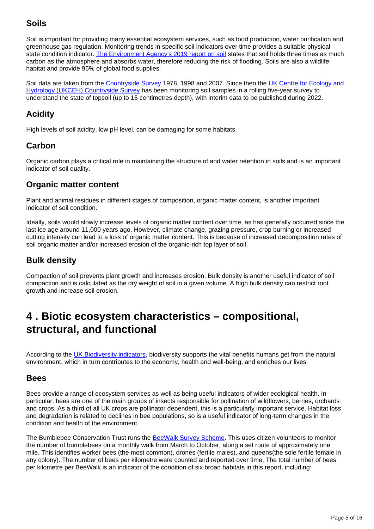### **Soils**

Soil is important for providing many essential ecosystem services, such as food production, water purification and greenhouse gas regulation. Monitoring trends in specific soil indicators over time provides a suitable physical state condition indicator. [The Environment Agency's 2019 report on soil](https://assets.publishing.service.gov.uk/government/uploads/system/uploads/attachment_data/file/805926/State_of_the_environment_soil_report.pdf) states that soil holds three times as much carbon as the atmosphere and absorbs water, therefore reducing the risk of flooding. Soils are also a wildlife habitat and provide 95% of global food supplies.

Soil data are taken from the [Countryside Survey](https://countrysidesurvey.org.uk/sites/default/files/CS_UK_2007_TR9-revised%20-%20Soils%20Report.pdf) 1978, 1998 and 2007. Since then the [UK Centre for Ecology and](https://countrysidesurvey.org.uk/science/soils)  [Hydrology \(UKCEH\) Countryside Survey](https://countrysidesurvey.org.uk/science/soils) has been monitoring soil samples in a rolling five-year survey to understand the state of topsoil (up to 15 centimetres depth), with interim data to be published during 2022.

### **Acidity**

High levels of soil acidity, low pH level, can be damaging for some habitats.

### **Carbon**

Organic carbon plays a critical role in maintaining the structure of and water retention in soils and is an important indicator of soil quality.

### **Organic matter content**

Plant and animal residues in different stages of composition, organic matter content, is another important indicator of soil condition.

Ideally, soils would slowly increase levels of organic matter content over time, as has generally occurred since the last ice age around 11,000 years ago. However, climate change, grazing pressure, crop burning or increased cutting intensity can lead to a loss of organic matter content. This is because of increased decomposition rates of soil organic matter and/or increased erosion of the organic-rich top layer of soil.

### **Bulk density**

Compaction of soil prevents plant growth and increases erosion. Bulk density is another useful indicator of soil compaction and is calculated as the dry weight of soil in a given volume. A high bulk density can restrict root growth and increase soil erosion.

## <span id="page-4-0"></span>**4 . Biotic ecosystem characteristics – compositional, structural, and functional**

According to the [UK Biodiversity indicators](https://www.gov.uk/government/statistics/biodiversity-indicators-for-the-uk), biodiversity supports the vital benefits humans get from the natural environment, which in turn contributes to the economy, health and well-being, and enriches our lives.

### **Bees**

Bees provide a range of ecosystem services as well as being useful indicators of wider ecological health. In particular, bees are one of the main groups of insects responsible for pollination of wildflowers, berries, orchards and crops. As a third of all UK crops are pollinator dependent, this is a particularly important service. Habitat loss and degradation is related to declines in bee populations, so is a useful indicator of long-term changes in the condition and health of the environment.

The Bumblebee Conservation Trust runs the [BeeWalk Survey Scheme.](https://www.beewalk.org.uk/) This uses citizen volunteers to monitor the number of bumblebees on a monthly walk from March to October, along a set route of approximately one mile. This identifies worker bees (the most common), drones (fertile males), and queens(the sole fertile female in any colony). The number of bees per kilometre were counted and reported over time. The total number of bees per kilometre per BeeWalk is an indicator of the condition of six broad habitats in this report, including: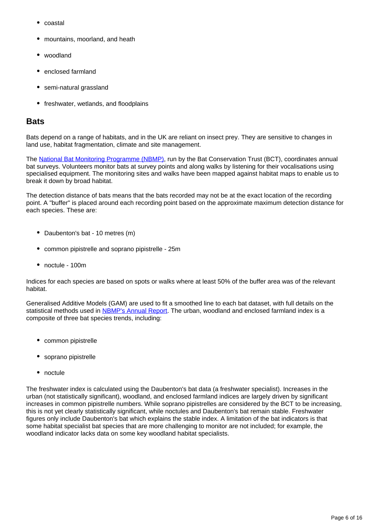- coastal
- mountains, moorland, and heath
- woodland
- enclosed farmland
- semi-natural grassland
- freshwater, wetlands, and floodplains

#### **Bats**

Bats depend on a range of habitats, and in the UK are reliant on insect prey. They are sensitive to changes in land use, habitat fragmentation, climate and site management.

The [National Bat Monitoring Programme \(NBMP\)](https://www.bats.org.uk/our-work/national-bat-monitoring-programme), run by the Bat Conservation Trust (BCT), coordinates annual bat surveys. Volunteers monitor bats at survey points and along walks by listening for their vocalisations using specialised equipment. The monitoring sites and walks have been mapped against habitat maps to enable us to break it down by broad habitat.

The detection distance of bats means that the bats recorded may not be at the exact location of the recording point. A "buffer" is placed around each recording point based on the approximate maximum detection distance for each species. These are:

- Daubenton's bat 10 metres (m)
- common pipistrelle and soprano pipistrelle 25m
- noctule 100m

Indices for each species are based on spots or walks where at least 50% of the buffer area was of the relevant habitat.

Generalised Additive Models (GAM) are used to fit a smoothed line to each bat dataset, with full details on the statistical methods used in [NBMP's Annual Report](https://www.bats.org.uk/our-work/national-bat-monitoring-programme/reports/nbmp-annual-report). The urban, woodland and enclosed farmland index is a composite of three bat species trends, including:

- common pipistrelle
- soprano pipistrelle
- noctule

The freshwater index is calculated using the Daubenton's bat data (a freshwater specialist). Increases in the urban (not statistically significant), woodland, and enclosed farmland indices are largely driven by significant increases in common pipistrelle numbers. While soprano pipistrelles are considered by the BCT to be increasing, this is not yet clearly statistically significant, while noctules and Daubenton's bat remain stable. Freshwater figures only include Daubenton's bat which explains the stable index. A limitation of the bat indicators is that some habitat specialist bat species that are more challenging to monitor are not included; for example, the woodland indicator lacks data on some key woodland habitat specialists.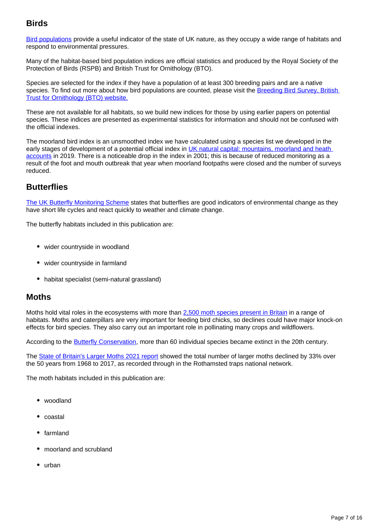### **Birds**

[Bird populations](https://jncc.gov.uk/our-work/ukbi-c5-birds-of-the-wider-countryside-and-at-sea/#key-results-figure-c5ai-breeding-farmland-birds-in-the-uk-1970-to-2019) provide a useful indicator of the state of UK nature, as they occupy a wide range of habitats and respond to environmental pressures.

Many of the habitat-based bird population indices are official statistics and produced by the Royal Society of the Protection of Birds (RSPB) and British Trust for Ornithology (BTO).

Species are selected for the index if they have a population of at least 300 breeding pairs and are a native species. To find out more about how bird populations are counted, please visit the Breeding Bird Survey, British [Trust for Ornithology \(BTO\) website.](https://app.bto.org/bbs-results/results/reg_lists/bbsdenslist-20.html)

These are not available for all habitats, so we build new indices for those by using earlier papers on potential species. These indices are presented as experimental statistics for information and should not be confused with the official indexes.

The moorland bird index is an unsmoothed index we have calculated using a species list we developed in the early stages of development of a potential official index in UK natural capital: mountains, moorland and heath [accounts](https://www.ons.gov.uk/economy/environmentalaccounts/bulletins/uknaturalcapital/mountainsmoorlandandheathaccounts) in 2019. There is a noticeable drop in the index in 2001; this is because of reduced monitoring as a result of the foot and mouth outbreak that year when moorland footpaths were closed and the number of surveys reduced.

### **Butterflies**

[The UK Butterfly Monitoring Scheme](https://ukbms.org/mydata) states that butterflies are good indicators of environmental change as they have short life cycles and react quickly to weather and climate change.

The butterfly habitats included in this publication are:

- wider countryside in woodland
- wider countryside in farmland
- habitat specialist (semi-natural grassland)

### **Moths**

Moths hold vital roles in the ecosystems with more than [2,500 moth species present in Britain](https://butterfly-conservation.org/moths) in a range of habitats. Moths and caterpillars are very important for feeding bird chicks, so declines could have major knock-on effects for bird species. They also carry out an important role in pollinating many crops and wildflowers.

According to the [Butterfly Conservation,](https://butterfly-conservation.org/moths/why-moths-matter/moths-in-decline) more than 60 individual species became extinct in the 20th century.

The [State of Britain's Larger Moths 2021 report](http://nora.nerc.ac.uk/id/eprint/530375/1/N530375CR.pdf) showed the total number of larger moths declined by 33% over the 50 years from 1968 to 2017, as recorded through in the Rothamsted traps national network.

The moth habitats included in this publication are:

- woodland
- coastal
- farmland
- moorland and scrubland
- urban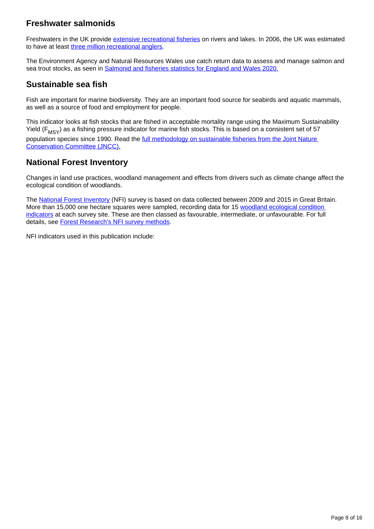### **Freshwater salmonids**

Freshwaters in the UK provide [extensive recreational fisheries](https://www.gov.uk/government/publications/buyers-and-sellers-of-first-sale-fish-and-submission-of-sales-notes/commercial-and-recreational-fishing#:~:text=2.-%2cWhat%20is%20recreational%20fishing?%2cand%20Conservation%20Authority%20%28IFCA) on rivers and lakes. In 2006, the UK was estimated to have at least [three million recreational anglers.](https://link.springer.com/article/10.1007/s12562-016-0967-y)

The Environment Agency and Natural Resources Wales use catch return data to assess and manage salmon and sea trout stocks, as seen in [Salmonid and fisheries statistics for England and Wales 2020.](https://www.gov.uk/government/publications/salmonid-and-freshwater-fisheries-statistics-2020/salmonid-and-fisheries-statistics-for-england-and-wales-2020)

### **Sustainable sea fish**

Fish are important for marine biodiversity. They are an important food source for seabirds and aquatic mammals, as well as a source of food and employment for people.

This indicator looks at fish stocks that are fished in acceptable mortality range using the Maximum Sustainability Yield ( $F_{MSY}$ ) as a fishing pressure indicator for marine fish stocks. This is based on a consistent set of 57 population species since 1990. Read the full methodology on sustainable fisheries from the Joint Nature [Conservation Committee \(JNCC\).](https://jncc.gov.uk/our-work/ukbi-b2-sustainable-fisheries/)

### **National Forest Inventory**

Changes in land use practices, woodland management and effects from drivers such as climate change affect the ecological condition of woodlands.

The [National Forest Inventory](https://www.forestresearch.gov.uk/tools-and-resources/national-forest-inventory/what-our-woodlands-and-tree-cover-outside-woodlands-are-like-today-nfi-inventory-reports-and-woodland-map-reports/nfi-woodland-ecological-condition/) (NFI) survey is based on data collected between 2009 and 2015 in Great Britain. More than 15,000 one hectare squares were sampled, recording data for 15 woodland ecological condition [indicators](https://frwordpressmedia.blob.core.windows.net/staging/2022/02/fr_nfi_condition_scoring_methodology_dj8ftgq.pdf) at each survey site. These are then classed as favourable, intermediate, or unfavourable. For full details, see [Forest Research's NFI survey methods](https://www.forestresearch.gov.uk/tools-and-resources/national-forest-inventory/nfi-survey-manual-for-third-cycle-field-samples/).

NFI indicators used in this publication include: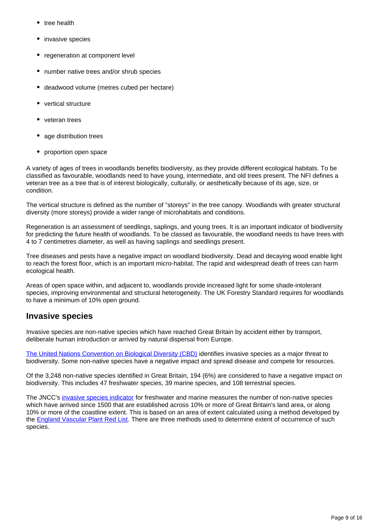- tree health
- invasive species
- regeneration at component level
- number native trees and/or shrub species
- deadwood volume (metres cubed per hectare)  $\bullet$
- vertical structure
- veteran trees
- age distribution trees
- proportion open space

A variety of ages of trees in woodlands benefits biodiversity, as they provide different ecological habitats. To be classified as favourable, woodlands need to have young, intermediate, and old trees present. The NFI defines a veteran tree as a tree that is of interest biologically, culturally, or aesthetically because of its age, size, or condition.

The vertical structure is defined as the number of "storeys" in the tree canopy. Woodlands with greater structural diversity (more storeys) provide a wider range of microhabitats and conditions.

Regeneration is an assessment of seedlings, saplings, and young trees. It is an important indicator of biodiversity for predicting the future health of woodlands. To be classed as favourable, the woodland needs to have trees with 4 to 7 centimetres diameter, as well as having saplings and seedlings present.

Tree diseases and pests have a negative impact on woodland biodiversity. Dead and decaying wood enable light to reach the forest floor, which is an important micro-habitat. The rapid and widespread death of trees can harm ecological health.

Areas of open space within, and adjacent to, woodlands provide increased light for some shade-intolerant species, improving environmental and structural heterogeneity. The UK Forestry Standard requires for woodlands to have a minimum of 10% open ground.

### **Invasive species**

Invasive species are non-native species which have reached Great Britain by accident either by transport, deliberate human introduction or arrived by natural dispersal from Europe.

[The United Nations Convention on Biological Diversity \(CBD\)](https://www.researchgate.net/publication/26610639_The_1992_United_Nations_Convention_on_Biological_Diversity) identifies invasive species as a major threat to biodiversity. Some non-native species have a negative impact and spread disease and compete for resources.

Of the 3,248 non-native species identified in Great Britain, 194 (6%) are considered to have a negative impact on biodiversity. This includes 47 freshwater species, 39 marine species, and 108 terrestrial species.

The JNCC's [invasive species indicator](https://jncc.gov.uk/our-work/ukbi-b6-invasive-species/) for freshwater and marine measures the number of non-native species which have arrived since 1500 that are established across 10% or more of Great Britain's land area, or along 10% or more of the coastline extent. This is based on an area of extent calculated using a method developed by the **England Vascular Plant Red List**. There are three methods used to determine extent of occurrence of such species.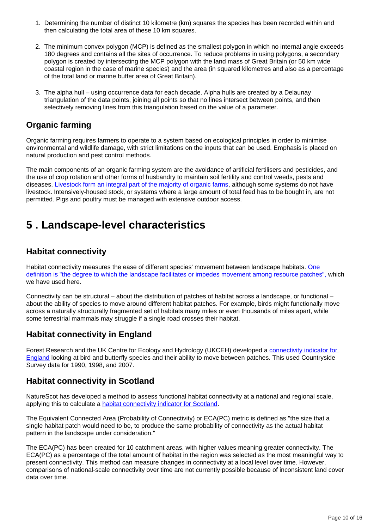- 1. Determining the number of distinct 10 kilometre (km) squares the species has been recorded within and then calculating the total area of these 10 km squares.
- 2. The minimum convex polygon (MCP) is defined as the smallest polygon in which no internal angle exceeds 180 degrees and contains all the sites of occurrence. To reduce problems in using polygons, a secondary polygon is created by intersecting the MCP polygon with the land mass of Great Britain (or 50 km wide coastal region in the case of marine species) and the area (in squared kilometres and also as a percentage of the total land or marine buffer area of Great Britain).
- 3. The alpha hull using occurrence data for each decade. Alpha hulls are created by a Delaunay triangulation of the data points, joining all points so that no lines intersect between points, and then selectively removing lines from this triangulation based on the value of a parameter.

### **Organic farming**

Organic farming requires farmers to operate to a system based on ecological principles in order to minimise environmental and wildlife damage, with strict limitations on the inputs that can be used. Emphasis is placed on natural production and pest control methods.

The main components of an organic farming system are the avoidance of artificial fertilisers and pesticides, and the use of crop rotation and other forms of husbandry to maintain soil fertility and control weeds, pests and diseases. [Livestock form an integral part of the majority of organic farms,](https://assets.publishing.service.gov.uk/government/uploads/system/uploads/attachment_data/file/929302/organics-statsnotice-26oct20.pdf) although some systems do not have livestock. Intensively-housed stock, or systems where a large amount of total feed has to be bought in, are not permitted. Pigs and poultry must be managed with extensive outdoor access.

### <span id="page-9-0"></span>**5 . Landscape-level characteristics**

### **Habitat connectivity**

Habitat connectivity measures the ease of different species' movement between landscape habitats. One [definition is "the degree to which the landscape facilitates or impedes movement among resource patches",](https://www.jstor.org/stable/3544927?seq=1) which we have used here.

Connectivity can be structural – about the distribution of patches of habitat across a landscape, or functional – about the ability of species to move around different habitat patches. For example, birds might functionally move across a naturally structurally fragmented set of habitats many miles or even thousands of miles apart, while some terrestrial mammals may struggle if a single road crosses their habitat.

### **Habitat connectivity in England**

Forest Research and the UK Centre for Ecology and Hydrology (UKCEH) developed a connectivity indicator for [England](https://assets.publishing.service.gov.uk/government/uploads/system/uploads/attachment_data/file/926056/England_biodiversity_indicators_2020_REVISED.pdf) looking at bird and butterfly species and their ability to move between patches. This used Countryside Survey data for 1990, 1998, and 2007.

### **Habitat connectivity in Scotland**

NatureScot has developed a method to assess functional habitat connectivity at a national and regional scale, applying this to calculate a [habitat connectivity indicator for Scotland](https://www.nature.scot/sites/default/files/2018-11/Publication%202018%20-%20SNH%20Research%20Report%20887%20-%20Developing%20a%20habitat%20connectivity%20indicator%20for%20Scotland.pdf).

The Equivalent Connected Area (Probability of Connectivity) or ECA(PC) metric is defined as "the size that a single habitat patch would need to be, to produce the same probability of connectivity as the actual habitat pattern in the landscape under consideration."

The ECA(PC) has been created for 10 catchment areas, with higher values meaning greater connectivity. The ECA(PC) as a percentage of the total amount of habitat in the region was selected as the most meaningful way to present connectivity. This method can measure changes in connectivity at a local level over time. However, comparisons of national-scale connectivity over time are not currently possible because of inconsistent land cover data over time.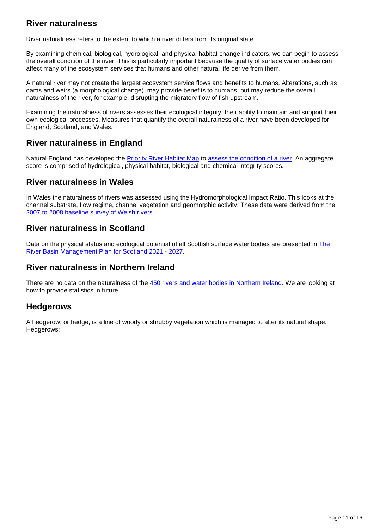### **River naturalness**

River naturalness refers to the extent to which a river differs from its original state.

By examining chemical, biological, hydrological, and physical habitat change indicators, we can begin to assess the overall condition of the river. This is particularly important because the quality of surface water bodies can affect many of the ecosystem services that humans and other natural life derive from them.

A natural river may not create the largest ecosystem service flows and benefits to humans. Alterations, such as dams and weirs (a morphological change), may provide benefits to humans, but may reduce the overall naturalness of the river, for example, disrupting the migratory flow of fish upstream.

Examining the naturalness of rivers assesses their ecological integrity: their ability to maintain and support their own ecological processes. Measures that quantify the overall naturalness of a river have been developed for England, Scotland, and Wales.

### **River naturalness in England**

Natural England has developed the [Priority River Habitat Map](https://naturalengland-defra.opendata.arcgis.com/datasets/priority-river-habitat-rivers-england) to [assess the condition of a river.](http://publications.naturalengland.org.uk/publication/6266338867675136) An aggregate score is comprised of hydrological, physical habitat, biological and chemical integrity scores.

### **River naturalness in Wales**

In Wales the naturalness of rivers was assessed using the Hydromorphological Impact Ratio. This looks at the channel substrate, flow regime, channel vegetation and geomorphic activity. These data were derived from the [2007 to 2008 baseline survey of Welsh rivers.](https://www.therrc.co.uk/sites/default/files/general/Communications/Blog/nrw_evidence_report_248._river_habitat_survey_in_wales_analysis_for_area_statements_2018.pdf) 

### **River naturalness in Scotland**

Data on the physical status and ecological potential of all Scottish surface water bodies are presented in The [River Basin Management Plan for Scotland 2021 - 2027](https://www.sepa.org.uk/media/594088/211222-final-rbmp3-scotland.pdf).

### **River naturalness in Northern Ireland**

There are no data on the naturalness of the [450 rivers and water bodies in Northern Ireland.](https://www.daera-ni.gov.uk/sites/default/files/publications/daera/NIEA%20-%20WFD%20Statistics%20Report%202018.pdf) We are looking at how to provide statistics in future.

### **Hedgerows**

A hedgerow, or hedge, is a line of woody or shrubby vegetation which is managed to alter its natural shape. Hedgerows: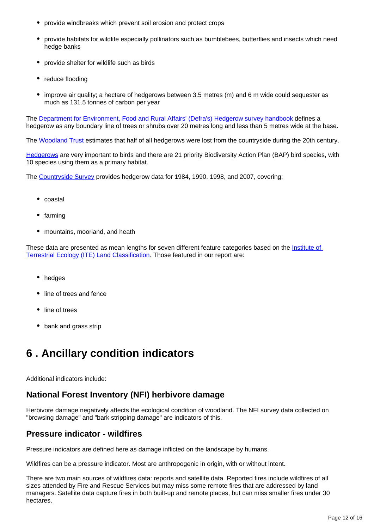- provide windbreaks which prevent soil erosion and protect crops
- provide habitats for wildlife especially pollinators such as bumblebees, butterflies and insects which need hedge banks
- provide shelter for wildlife such as birds
- reduce flooding
- improve air quality; a hectare of hedgerows between 3.5 metres (m) and 6 m wide could sequester as much as 131.5 tonnes of carbon per year

The [Department for Environment, Food and Rural Affairs' \(Defra's\) Hedgerow survey handbook](https://www.gov.uk/government/publications/hedgerow-survey-handbook) defines a hedgerow as any boundary line of trees or shrubs over 20 metres long and less than 5 metres wide at the base.

The [Woodland Trust](https://www.woodlandtrust.org.uk/media/1800/wood-wise-hedgerows-and-hedgerow-trees.pdf) estimates that half of all hedgerows were lost from the countryside during the 20th century.

[Hedgerows](https://hedgelink.org.uk/hedgerows/importance-of-hedgerows/) are very important to birds and there are 21 priority Biodiversity Action Plan (BAP) bird species, with 10 species using them as a primary habitat.

The [Countryside Survey](https://countrysidesurvey.org.uk/) provides hedgerow data for 1984, 1990, 1998, and 2007, covering:

- coastal
- farming
- mountains, moorland, and heath

These data are presented as mean lengths for seven different feature categories based on the Institute of [Terrestrial Ecology \(ITE\) Land Classification.](https://data.gov.uk/dataset/cea84038-629c-4a15-a686-1467707f26b5/ite-land-classification-of-great-britain-1990) Those featured in our report are:

- hedges
- line of trees and fence
- line of trees
- bank and grass strip

## <span id="page-11-0"></span>**6 . Ancillary condition indicators**

Additional indicators include:

### **National Forest Inventory (NFI) herbivore damage**

Herbivore damage negatively affects the ecological condition of woodland. The NFI survey data collected on "browsing damage" and "bark stripping damage" are indicators of this.

### **Pressure indicator - wildfires**

Pressure indicators are defined here as damage inflicted on the landscape by humans.

Wildfires can be a pressure indicator. Most are anthropogenic in origin, with or without intent.

There are two main sources of wildfires data: reports and satellite data. Reported fires include wildfires of all sizes attended by Fire and Rescue Services but may miss some remote fires that are addressed by land managers. Satellite data capture fires in both built-up and remote places, but can miss smaller fires under 30 hectares.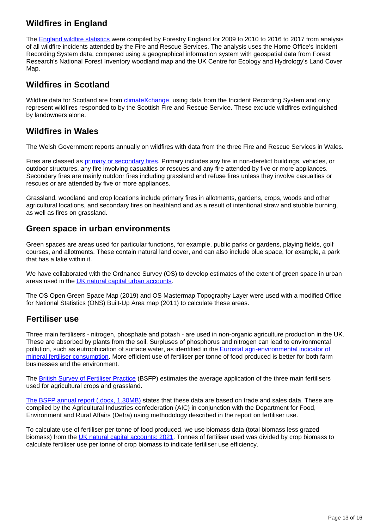### **Wildfires in England**

The [England wildfire statistics](https://assets.publishing.service.gov.uk/government/uploads/system/uploads/attachment_data/file/779468/FC_Wildfire_Statistics_for_England_2009_10_to_2016_17.pdf) were compiled by Forestry England for 2009 to 2010 to 2016 to 2017 from analysis of all wildfire incidents attended by the Fire and Rescue Services. The analysis uses the Home Office's Incident Recording System data, compared using a geographical information system with geospatial data from Forest Research's National Forest Inventory woodland map and the UK Centre for Ecology and Hydrology's Land Cover Map.

### **Wildfires in Scotland**

Wildfire data for Scotland are from [climateXchange](https://www.climatexchange.org.uk/media/2545/nb42_nf17_number_and_area_of_reported_wildfires_forests_key_habitats.pdf), using data from the Incident Recording System and only represent wildfires responded to by the Scottish Fire and Rescue Service. These exclude wildfires extinguished by landowners alone.

### **Wildfires in Wales**

The Welsh Government reports annually on wildfires with data from the three Fire and Rescue Services in Wales.

Fires are classed as *primary or secondary fires*. Primary includes any fire in non-derelict buildings, vehicles, or outdoor structures, any fire involving casualties or rescues and any fire attended by five or more appliances. Secondary fires are mainly outdoor fires including grassland and refuse fires unless they involve casualties or rescues or are attended by five or more appliances.

Grassland, woodland and crop locations include primary fires in allotments, gardens, crops, woods and other agricultural locations, and secondary fires on heathland and as a result of intentional straw and stubble burning, as well as fires on grassland.

### **Green space in urban environments**

Green spaces are areas used for particular functions, for example, public parks or gardens, playing fields, golf courses, and allotments. These contain natural land cover, and can also include blue space, for example, a park that has a lake within it.

We have collaborated with the Ordnance Survey (OS) to develop estimates of the extent of green space in urban areas used in the [UK natural capital urban accounts](https://www.ons.gov.uk/economy/environmentalaccounts/bulletins/uknaturalcapital/urbanaccounts).

The OS Open Green Space Map (2019) and OS Mastermap Topography Layer were used with a modified Office for National Statistics (ONS) Built-Up Area map (2011) to calculate these areas.

### **Fertiliser use**

Three main fertilisers - nitrogen, phosphate and potash - are used in non-organic agriculture production in the UK. These are absorbed by plants from the soil. Surpluses of phosphorus and nitrogen can lead to environmental pollution, such as eutrophication of surface water, as identified in the [Eurostat agri-environmental indicator of](https://ec.europa.eu/eurostat/statistics-explained/index.php?title=Agri-environmental_indicator_-_mineral_fertiliser_consumption)  [mineral fertiliser consumption](https://ec.europa.eu/eurostat/statistics-explained/index.php?title=Agri-environmental_indicator_-_mineral_fertiliser_consumption). More efficient use of fertiliser per tonne of food produced is better for both farm businesses and the environment.

The [British Survey of Fertiliser Practice](https://www.gov.uk/government/statistical-data-sets/british-survey-of-fertiliser-practice-dataset) (BSFP) estimates the average application of the three main fertilisers used for agricultural crops and grassland.

[The BSFP annual report \(.docx, 1.30MB\)](https://assets.publishing.service.gov.uk/government/uploads/system/uploads/attachment_data/file/1010369/fertliseruse-annualreport2020-12aug21.odt) states that these data are based on trade and sales data. These are compiled by the Agricultural Industries confederation (AIC) in conjunction with the Department for Food, Environment and Rural Affairs (Defra) using methodology described in the report on fertiliser use.

To calculate use of fertiliser per tonne of food produced, we use biomass data (total biomass less grazed biomass) from the [UK natural capital accounts: 2021](https://www.ons.gov.uk/economy/environmentalaccounts/bulletins/uknaturalcapitalaccounts/2021). Tonnes of fertiliser used was divided by crop biomass to calculate fertiliser use per tonne of crop biomass to indicate fertiliser use efficiency.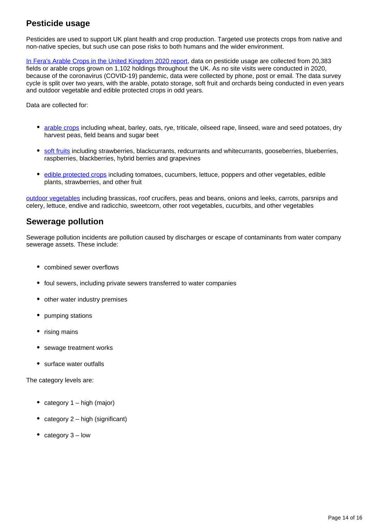### **Pesticide usage**

Pesticides are used to support UK plant health and crop production. Targeted use protects crops from native and non-native species, but such use can pose risks to both humans and the wider environment.

[In Fera's Arable Crops in the United Kingdom 2020 report,](https://pusstats.fera.co.uk/upload/fERxvRulVrwRsvVQVIgL3nDvXfW3oxvLeiISwzGA.pdf) data on pesticide usage are collected from 20,383 fields or arable crops grown on 1,102 holdings throughout the UK. As no site visits were conducted in 2020, because of the coronavirus (COVID-19) pandemic, data were collected by phone, post or email. The data survey cycle is split over two years, with the arable, potato storage, soft fruit and orchards being conducted in even years and outdoor vegetable and edible protected crops in odd years.

Data are collected for:

- [arable crops](https://pusstats.fera.co.uk/upload/fERxvRulVrwRsvVQVIgL3nDvXfW3oxvLeiISwzGA.pdf) including wheat, barley, oats, rye, triticale, oilseed rape, linseed, ware and seed potatoes, dry harvest peas, field beans and sugar beet
- [soft fruits](https://pusstats.fera.co.uk/upload/ho4OHhDODoOoPjSQoN8plp2mCvJDOl4v5j5V0yYP.pdf) including strawberries, blackcurrants, redcurrants and whitecurrants, gooseberries, blueberries, raspberries, blackberries, hybrid berries and grapevines
- [edible protected crops](https://pusstats.fera.co.uk/upload/yp29r5gVirqfOA3o6w3ZfssMqZGKAbuxoBWLneAF.pdf) including tomatoes, cucumbers, lettuce, poppers and other vegetables, edible plants, strawberries, and other fruit

[outdoor vegetables](https://pusstats.fera.co.uk/upload/K2rJUJnSLR0oNJ1sAOX4IqJ9bHr9VintUzNUebhm.pdf) including brassicas, roof crucifers, peas and beans, onions and leeks, carrots, parsnips and celery, lettuce, endive and radicchio, sweetcorn, other root vegetables, cucurbits, and other vegetables

#### **Sewerage pollution**

Sewerage pollution incidents are pollution caused by discharges or escape of contaminants from water company sewerage assets. These include:

- combined sewer overflows
- foul sewers, including private sewers transferred to water companies
- other water industry premises
- pumping stations
- rising mains
- sewage treatment works
- surface water outfalls

The category levels are:

- category  $1 -$  high (major)
- category  $2 -$  high (significant)
- category  $3 -$  low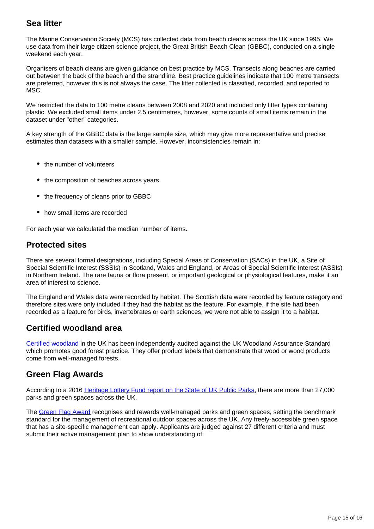### **Sea litter**

The Marine Conservation Society (MCS) has collected data from beach cleans across the UK since 1995. We use data from their large citizen science project, the Great British Beach Clean (GBBC), conducted on a single weekend each year.

Organisers of beach cleans are given guidance on best practice by MCS. Transects along beaches are carried out between the back of the beach and the strandline. Best practice guidelines indicate that 100 metre transects are preferred, however this is not always the case. The litter collected is classified, recorded, and reported to MSC.

We restricted the data to 100 metre cleans between 2008 and 2020 and included only litter types containing plastic. We excluded small items under 2.5 centimetres, however, some counts of small items remain in the dataset under "other" categories.

A key strength of the GBBC data is the large sample size, which may give more representative and precise estimates than datasets with a smaller sample. However, inconsistencies remain in:

- the number of volunteers
- the composition of beaches across years
- the frequency of cleans prior to GBBC
- how small items are recorded

For each year we calculated the median number of items.

#### **Protected sites**

There are several formal designations, including Special Areas of Conservation (SACs) in the UK, a Site of Special Scientific Interest (SSSIs) in Scotland, Wales and England, or Areas of Special Scientific Interest (ASSIs) in Northern Ireland. The rare fauna or flora present, or important geological or physiological features, make it an area of interest to science.

The England and Wales data were recorded by habitat. The Scottish data were recorded by feature category and therefore sites were only included if they had the habitat as the feature. For example, if the site had been recorded as a feature for birds, invertebrates or earth sciences, we were not able to assign it to a habitat.

### **Certified woodland area**

[Certified woodland](https://www.forestresearch.gov.uk/tools-and-resources/statistics/forestry-statistics/forestry-statistics-2018/woodland-areas-and-planting/certified-woodland-area/) in the UK has been independently audited against the UK Woodland Assurance Standard which promotes good forest practice. They offer product labels that demonstrate that wood or wood products come from well-managed forests.

### **Green Flag Awards**

According to a 2016 [Heritage Lottery Fund report on the State of UK Public Parks](https://www.heritagefund.org.uk/sites/default/files/media/attachments/state_of_uk_public_parks_2016_final_for_web%281%29.pdf), there are more than 27,000 parks and green spaces across the UK.

The [Green Flag Award](https://www.greenflagaward.org/media/1019/green-flag-award-guidelines.pdf) recognises and rewards well-managed parks and green spaces, setting the benchmark standard for the management of recreational outdoor spaces across the UK. Any freely-accessible green space that has a site-specific management can apply. Applicants are judged against 27 different criteria and must submit their active management plan to show understanding of: